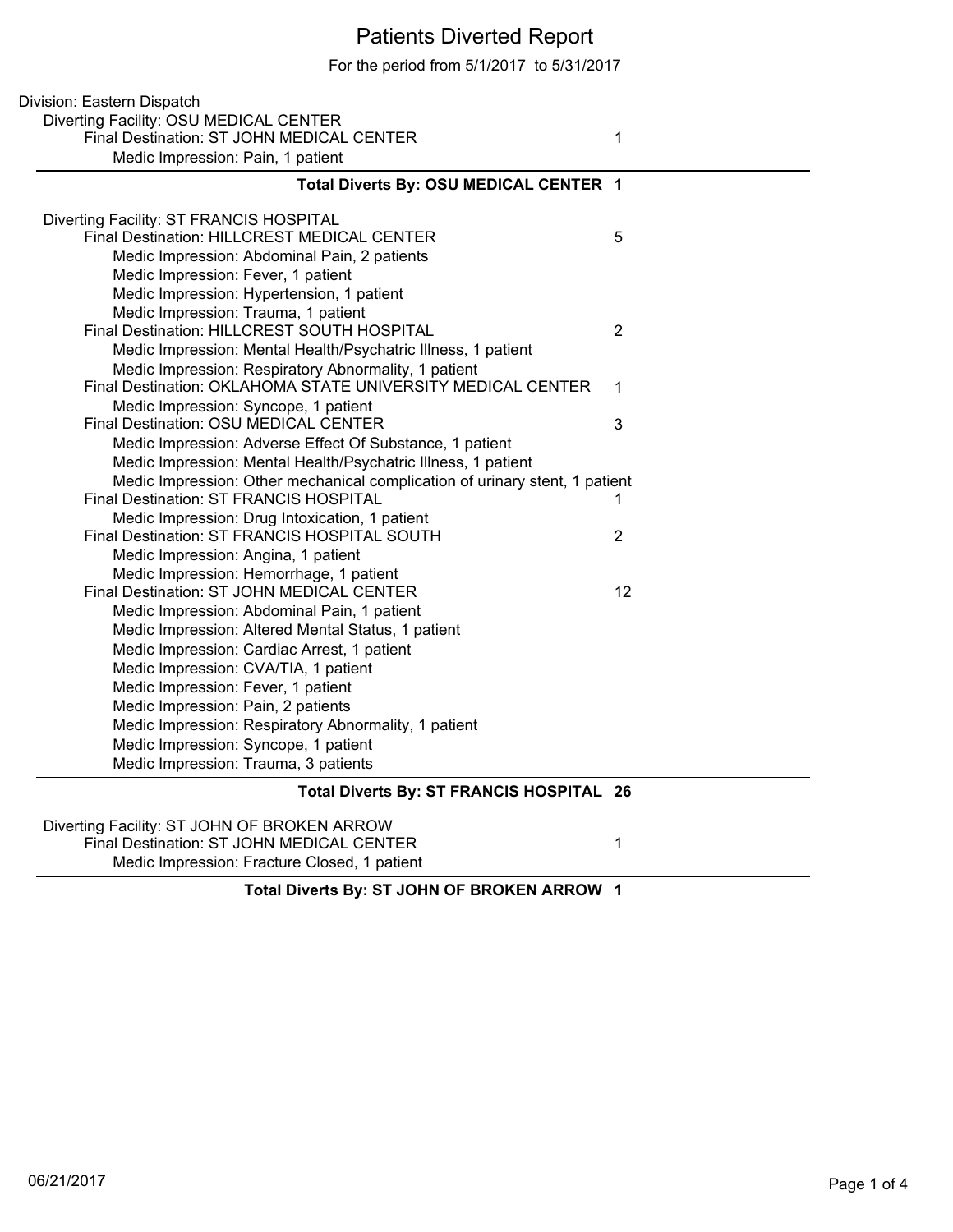## Patients Diverted Report

For the period from 5/1/2017 to 5/31/2017

| Division: Eastern Dispatch                                                  |                |
|-----------------------------------------------------------------------------|----------------|
| Diverting Facility: OSU MEDICAL CENTER                                      |                |
| Final Destination: ST JOHN MEDICAL CENTER                                   | 1              |
| Medic Impression: Pain, 1 patient                                           |                |
| Total Diverts By: OSU MEDICAL CENTER 1                                      |                |
| Diverting Facility: ST FRANCIS HOSPITAL                                     |                |
| Final Destination: HILLCREST MEDICAL CENTER                                 | 5              |
| Medic Impression: Abdominal Pain, 2 patients                                |                |
| Medic Impression: Fever, 1 patient                                          |                |
| Medic Impression: Hypertension, 1 patient                                   |                |
| Medic Impression: Trauma, 1 patient                                         |                |
| Final Destination: HILLCREST SOUTH HOSPITAL                                 | $\overline{2}$ |
| Medic Impression: Mental Health/Psychatric Illness, 1 patient               |                |
| Medic Impression: Respiratory Abnormality, 1 patient                        |                |
| Final Destination: OKLAHOMA STATE UNIVERSITY MEDICAL CENTER                 | 1              |
| Medic Impression: Syncope, 1 patient                                        |                |
| Final Destination: OSU MEDICAL CENTER                                       | 3              |
| Medic Impression: Adverse Effect Of Substance, 1 patient                    |                |
| Medic Impression: Mental Health/Psychatric Illness, 1 patient               |                |
| Medic Impression: Other mechanical complication of urinary stent, 1 patient |                |
| Final Destination: ST FRANCIS HOSPITAL                                      | 1              |
| Medic Impression: Drug Intoxication, 1 patient                              |                |
| Final Destination: ST FRANCIS HOSPITAL SOUTH                                | $\overline{2}$ |
| Medic Impression: Angina, 1 patient                                         |                |
| Medic Impression: Hemorrhage, 1 patient                                     |                |
| Final Destination: ST JOHN MEDICAL CENTER                                   | 12             |
| Medic Impression: Abdominal Pain, 1 patient                                 |                |
| Medic Impression: Altered Mental Status, 1 patient                          |                |
| Medic Impression: Cardiac Arrest, 1 patient                                 |                |
| Medic Impression: CVA/TIA, 1 patient                                        |                |
| Medic Impression: Fever, 1 patient                                          |                |
| Medic Impression: Pain, 2 patients                                          |                |
| Medic Impression: Respiratory Abnormality, 1 patient                        |                |
| Medic Impression: Syncope, 1 patient                                        |                |
| Medic Impression: Trauma, 3 patients                                        |                |
| Total Diverts By: ST FRANCIS HOSPITAL 26                                    |                |
| Diverting Facility: ST JOHN OF BROKEN ARROW                                 |                |
| Final Destination: ST JOHN MEDICAL CENTER                                   | 1              |

Medic Impression: Fracture Closed, 1 patient

**Total Diverts By: ST JOHN OF BROKEN ARROW 1**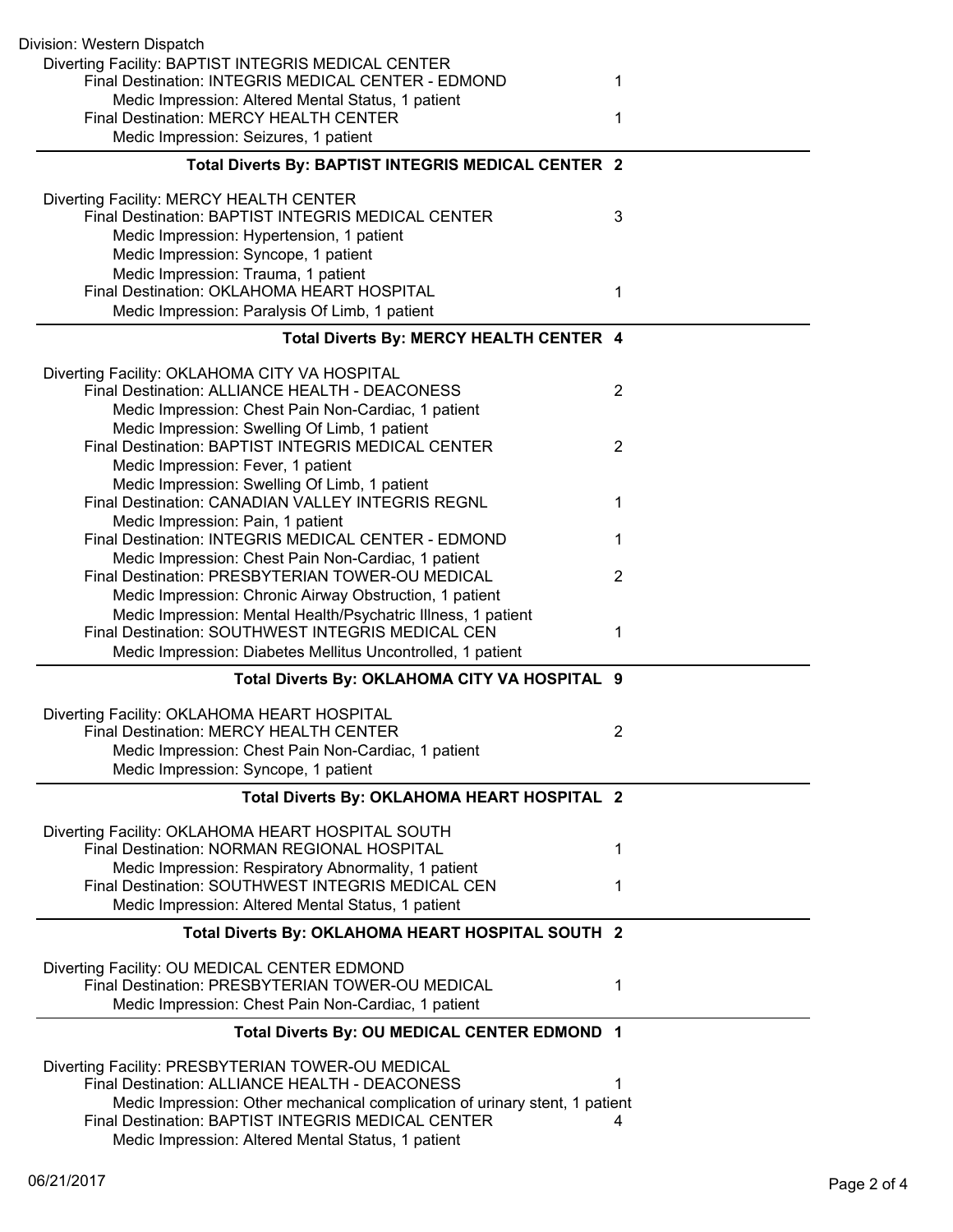| Division: Western Dispatch                                                                                         |                |
|--------------------------------------------------------------------------------------------------------------------|----------------|
| Diverting Facility: BAPTIST INTEGRIS MEDICAL CENTER<br>Final Destination: INTEGRIS MEDICAL CENTER - EDMOND         | 1              |
| Medic Impression: Altered Mental Status, 1 patient                                                                 |                |
| Final Destination: MERCY HEALTH CENTER<br>Medic Impression: Seizures, 1 patient                                    | 1              |
| Total Diverts By: BAPTIST INTEGRIS MEDICAL CENTER 2                                                                |                |
| Diverting Facility: MERCY HEALTH CENTER                                                                            |                |
| Final Destination: BAPTIST INTEGRIS MEDICAL CENTER                                                                 | 3              |
| Medic Impression: Hypertension, 1 patient                                                                          |                |
| Medic Impression: Syncope, 1 patient<br>Medic Impression: Trauma, 1 patient                                        |                |
| Final Destination: OKLAHOMA HEART HOSPITAL                                                                         | 1              |
| Medic Impression: Paralysis Of Limb, 1 patient                                                                     |                |
| Total Diverts By: MERCY HEALTH CENTER 4                                                                            |                |
| Diverting Facility: OKLAHOMA CITY VA HOSPITAL                                                                      |                |
| Final Destination: ALLIANCE HEALTH - DEACONESS<br>Medic Impression: Chest Pain Non-Cardiac, 1 patient              | $\overline{2}$ |
| Medic Impression: Swelling Of Limb, 1 patient                                                                      |                |
| Final Destination: BAPTIST INTEGRIS MEDICAL CENTER                                                                 | $\overline{2}$ |
| Medic Impression: Fever, 1 patient<br>Medic Impression: Swelling Of Limb, 1 patient                                |                |
| Final Destination: CANADIAN VALLEY INTEGRIS REGNL                                                                  | 1              |
| Medic Impression: Pain, 1 patient                                                                                  |                |
| Final Destination: INTEGRIS MEDICAL CENTER - EDMOND<br>Medic Impression: Chest Pain Non-Cardiac, 1 patient         | 1              |
| Final Destination: PRESBYTERIAN TOWER-OU MEDICAL                                                                   | $\overline{2}$ |
| Medic Impression: Chronic Airway Obstruction, 1 patient                                                            |                |
| Medic Impression: Mental Health/Psychatric Illness, 1 patient<br>Final Destination: SOUTHWEST INTEGRIS MEDICAL CEN | 1              |
| Medic Impression: Diabetes Mellitus Uncontrolled, 1 patient                                                        |                |
| Total Diverts By: OKLAHOMA CITY VA HOSPITAL 9                                                                      |                |
| Diverting Facility: OKLAHOMA HEART HOSPITAL                                                                        |                |
| <b>Final Destination: MERCY HEALTH CENTER</b>                                                                      | 2              |
| Medic Impression: Chest Pain Non-Cardiac, 1 patient                                                                |                |
| Medic Impression: Syncope, 1 patient                                                                               |                |
| Total Diverts By: OKLAHOMA HEART HOSPITAL 2                                                                        |                |
| Diverting Facility: OKLAHOMA HEART HOSPITAL SOUTH<br>Final Destination: NORMAN REGIONAL HOSPITAL                   | 1              |
| Medic Impression: Respiratory Abnormality, 1 patient                                                               |                |
| Final Destination: SOUTHWEST INTEGRIS MEDICAL CEN                                                                  | 1              |
| Medic Impression: Altered Mental Status, 1 patient                                                                 |                |
| Total Diverts By: OKLAHOMA HEART HOSPITAL SOUTH 2                                                                  |                |
| Diverting Facility: OU MEDICAL CENTER EDMOND                                                                       |                |
| Final Destination: PRESBYTERIAN TOWER-OU MEDICAL<br>Medic Impression: Chest Pain Non-Cardiac, 1 patient            | 1              |
| Total Diverts By: OU MEDICAL CENTER EDMOND 1                                                                       |                |
|                                                                                                                    |                |
| Diverting Facility: PRESBYTERIAN TOWER-OU MEDICAL<br>Final Destination: ALLIANCE HEALTH - DEACONESS                |                |
| Medic Impression: Other mechanical complication of urinary stent, 1 patient                                        |                |
| Final Destination: BAPTIST INTEGRIS MEDICAL CENTER<br>Medic Impression: Altered Mental Status, 1 patient           | 4              |
|                                                                                                                    |                |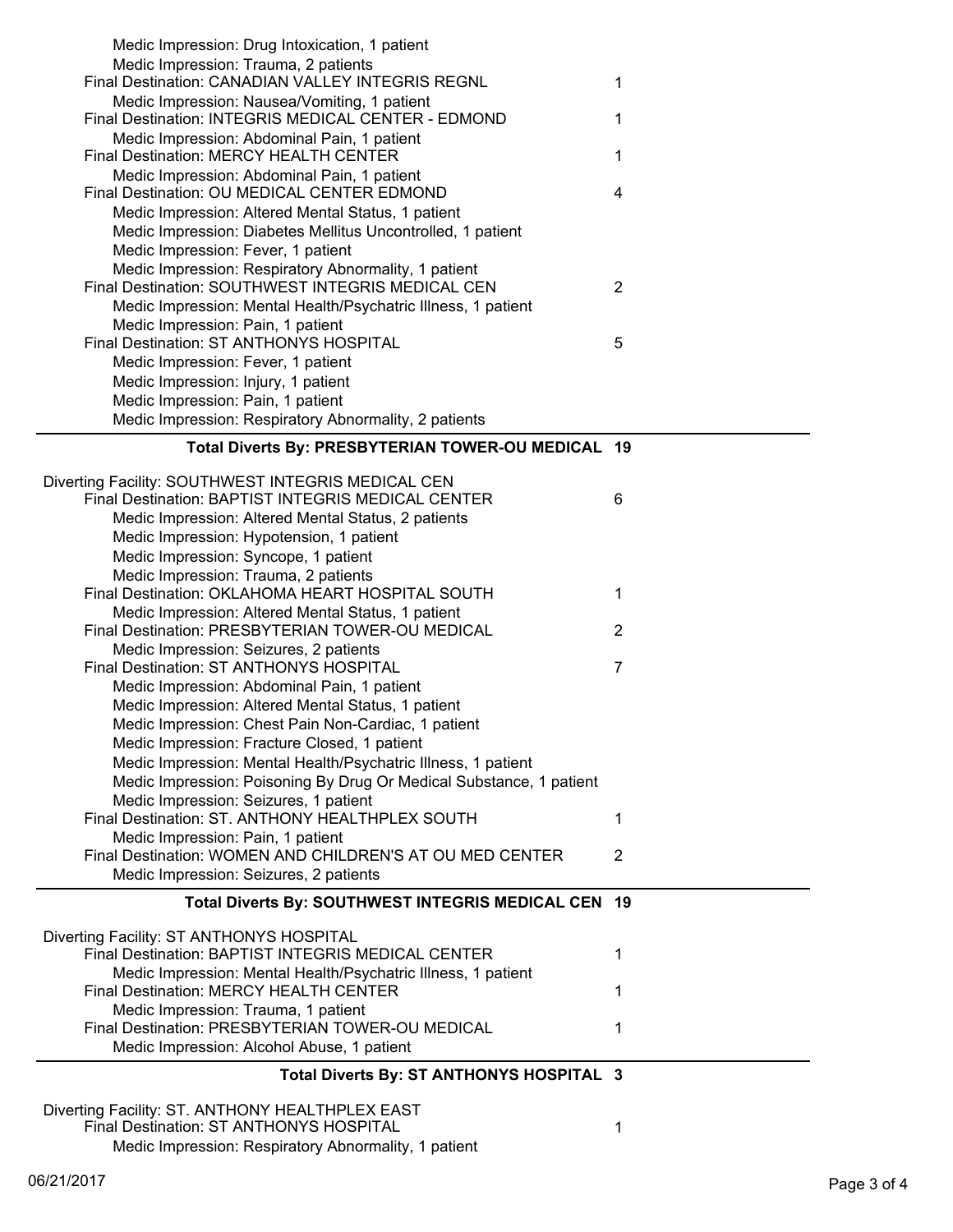| Medic Impression: Drug Intoxication, 1 patient                                                  |                |
|-------------------------------------------------------------------------------------------------|----------------|
| Medic Impression: Trauma, 2 patients                                                            |                |
| Final Destination: CANADIAN VALLEY INTEGRIS REGNL                                               | 1              |
| Medic Impression: Nausea/Vomiting, 1 patient                                                    |                |
| Final Destination: INTEGRIS MEDICAL CENTER - EDMOND                                             | 1              |
| Medic Impression: Abdominal Pain, 1 patient                                                     |                |
| Final Destination: MERCY HEALTH CENTER                                                          | 1              |
| Medic Impression: Abdominal Pain, 1 patient                                                     |                |
| Final Destination: OU MEDICAL CENTER EDMOND                                                     | 4              |
| Medic Impression: Altered Mental Status, 1 patient                                              |                |
| Medic Impression: Diabetes Mellitus Uncontrolled, 1 patient                                     |                |
|                                                                                                 |                |
| Medic Impression: Fever, 1 patient                                                              |                |
| Medic Impression: Respiratory Abnormality, 1 patient                                            |                |
| Final Destination: SOUTHWEST INTEGRIS MEDICAL CEN                                               | $\overline{2}$ |
| Medic Impression: Mental Health/Psychatric Illness, 1 patient                                   |                |
| Medic Impression: Pain, 1 patient                                                               |                |
| Final Destination: ST ANTHONYS HOSPITAL                                                         | 5              |
| Medic Impression: Fever, 1 patient                                                              |                |
| Medic Impression: Injury, 1 patient                                                             |                |
| Medic Impression: Pain, 1 patient                                                               |                |
| Medic Impression: Respiratory Abnormality, 2 patients                                           |                |
|                                                                                                 |                |
| Total Diverts By: PRESBYTERIAN TOWER-OU MEDICAL 19                                              |                |
|                                                                                                 |                |
| Diverting Facility: SOUTHWEST INTEGRIS MEDICAL CEN                                              |                |
| Final Destination: BAPTIST INTEGRIS MEDICAL CENTER                                              | 6              |
| Medic Impression: Altered Mental Status, 2 patients                                             |                |
| Medic Impression: Hypotension, 1 patient                                                        |                |
| Medic Impression: Syncope, 1 patient                                                            |                |
| Medic Impression: Trauma, 2 patients                                                            |                |
| Final Destination: OKLAHOMA HEART HOSPITAL SOUTH                                                | 1              |
| Medic Impression: Altered Mental Status, 1 patient                                              |                |
| Final Destination: PRESBYTERIAN TOWER-OU MEDICAL                                                | $\overline{2}$ |
| Medic Impression: Seizures, 2 patients                                                          |                |
| Final Destination: ST ANTHONYS HOSPITAL                                                         | 7              |
|                                                                                                 |                |
|                                                                                                 |                |
| Medic Impression: Abdominal Pain, 1 patient                                                     |                |
| Medic Impression: Altered Mental Status, 1 patient                                              |                |
| Medic Impression: Chest Pain Non-Cardiac, 1 patient                                             |                |
| Medic Impression: Fracture Closed, 1 patient                                                    |                |
| Medic Impression: Mental Health/Psychatric Illness, 1 patient                                   |                |
| Medic Impression: Poisoning By Drug Or Medical Substance, 1 patient                             |                |
| Medic Impression: Seizures, 1 patient                                                           |                |
| Final Destination: ST. ANTHONY HEALTHPLEX SOUTH                                                 | 1              |
| Medic Impression: Pain, 1 patient                                                               |                |
| Final Destination: WOMEN AND CHILDREN'S AT OU MED CENTER                                        | $\overline{2}$ |
| Medic Impression: Seizures, 2 patients                                                          |                |
|                                                                                                 |                |
| Total Diverts By: SOUTHWEST INTEGRIS MEDICAL CEN 19                                             |                |
|                                                                                                 |                |
| Diverting Facility: ST ANTHONYS HOSPITAL                                                        |                |
| Final Destination: BAPTIST INTEGRIS MEDICAL CENTER                                              | 1              |
| Medic Impression: Mental Health/Psychatric Illness, 1 patient                                   |                |
| Final Destination: MERCY HEALTH CENTER                                                          | 1              |
| Medic Impression: Trauma, 1 patient                                                             |                |
| Final Destination: PRESBYTERIAN TOWER-OU MEDICAL                                                | 1              |
| Medic Impression: Alcohol Abuse, 1 patient                                                      |                |
| Total Diverts By: ST ANTHONYS HOSPITAL 3                                                        |                |
|                                                                                                 |                |
| Diverting Facility: ST. ANTHONY HEALTHPLEX EAST                                                 |                |
| Final Destination: ST ANTHONYS HOSPITAL<br>Medic Impression: Respiratory Abnormality, 1 patient | 1              |